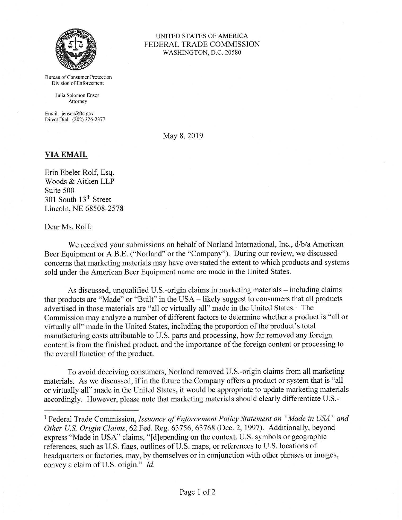

Bureau of Consumer Protection Division of Enforcement

> Julia Solomon Ensor Attorney

Email: jensor@ftc.gov Direct Dial: (202) 326-2377

## UNITED STATES OF AMERICA FEDERAL TRADE COMMISSION WASHINGTON, D.C. 20580

May 8, 2019

## **VIA EMAIL**

Erin Ebeler Rolf, Esq. Woods & Aitken LLP Suite 500 301 South 13<sup>th</sup> Street Lincoln, NE 68508-2578

## Dear Ms. Rolf:

We received your submissions on behalf of Norland International, Inc., d/b/a American Beer Equipment or A.B.E. ("Norland" or the "Company"). During our review, we discussed concerns that marketing materials may have overstated the extent to which products and systems sold under the American Beer Equipment name are made in the United States.

As discussed, unqualified U.S.-origin claims in marketing materials - including claims that products are "Made" or "Built" in the USA - likely suggest to consumers that all products advertised in those materials are "all or virtually all" made in the United States.<sup>1</sup> The Commission may analyze a number of different factors to determine whether a product is "all or virtually all" made in the United States, including the proportion of the product's total manufacturing costs attributable to U.S. parts and processing, how far removed any foreign content is from the finished product, and the importance of the foreign content or processing to the overall function of the product.

To avoid deceiving consumers, Norland removed U.S.-origin claims from all marketing materials. As we discussed, if in the future the Company offers a product or system that is "all or virtually all" made in the United States, it would be appropriate to update marketing materials accordingly. However, please note that marketing materials should clearly differentiate U.S.-

<sup>1</sup> Federal Trade Commission, *Issuance of Enforcement Policy Statement on "Made in USA" and Other U.S. Origin Claims,* 62 Fed. Reg. 63756, 63768 (Dec. 2, 1997). Additionally, beyond express "Made in USA" claims, " [d]epending on the context, U.S. symbols or geographic references, such as U.S. flags, outlines of U.S. maps, or references to U.S. locations of headquarters or factories, may, by themselves or in conjunction with other phrases or images, convey a claim of U.S. origin." *Id.*